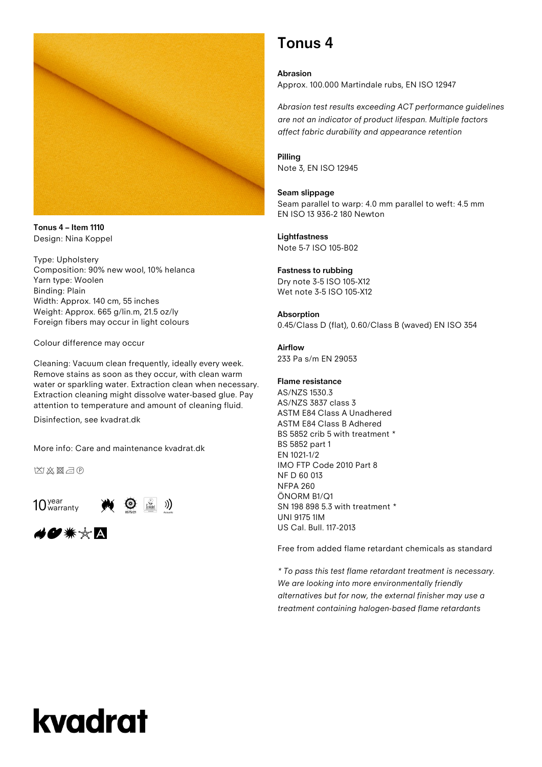

**Tonus 4 – Item 1110** Design: Nina Koppel

Type: Upholstery Composition: 90% new wool, 10% helanca Yarn type: Woolen Binding: Plain Width: Approx. 140 cm, 55 inches Weight: Approx. 665 g/lin.m, 21.5 oz/ly Foreign fibers may occur in light colours

Colour difference may occur

Cleaning: Vacuum clean frequently, ideally every week. Remove stains as soon as they occur, with clean warm water or sparkling water. Extraction clean when necessary. Extraction cleaning might dissolve water-based glue. Pay attention to temperature and amount of cleaning fluid.

Disinfection, see kvadrat.dk

More info: Care and maintenance kvadrat.dk

凶凶图己的

 $10<sub>warm</sub>$  warranty



### **Tonus 4**

**Abrasion** Approx. 100.000 Martindale rubs, EN ISO 12947

*Abrasion test results exceeding ACT performance guidelines are not an indicator of product lifespan. Multiple factors affect fabric durability and appearance retention*

**Pilling** Note 3, EN ISO 12945

#### **Seam slippage**

Seam parallel to warp: 4.0 mm parallel to weft: 4.5 mm EN ISO 13 936-2 180 Newton

**Lightfastness** Note 5-7 ISO 105-B02

#### **Fastness to rubbing**

Dry note 3-5 ISO 105-X12 Wet note 3-5 ISO 105-X12

#### **Absorption**

0.45/Class D (flat), 0.60/Class B (waved) EN ISO 354

#### **Airflow**

233 Pa s/m EN 29053

#### **Flame resistance**

AS/NZS 1530.3 AS/NZS 3837 class 3 ASTM E84 Class A Unadhered ASTM E84 Class B Adhered BS 5852 crib 5 with treatment \* BS 5852 part 1 EN 1021-1/2 IMO FTP Code 2010 Part 8 NF D 60 013 NFPA 260 ÖNORM B1/Q1 SN 198 898 5.3 with treatment \* UNI 9175 1IM US Cal. Bull. 117-2013

Free from added flame retardant chemicals as standard

*\* To pass this test flame retardant treatment is necessary. We are looking into more environmentally friendly alternatives but for now, the external finisher may use a treatment containing halogen-based flame retardants*

# kvadrat